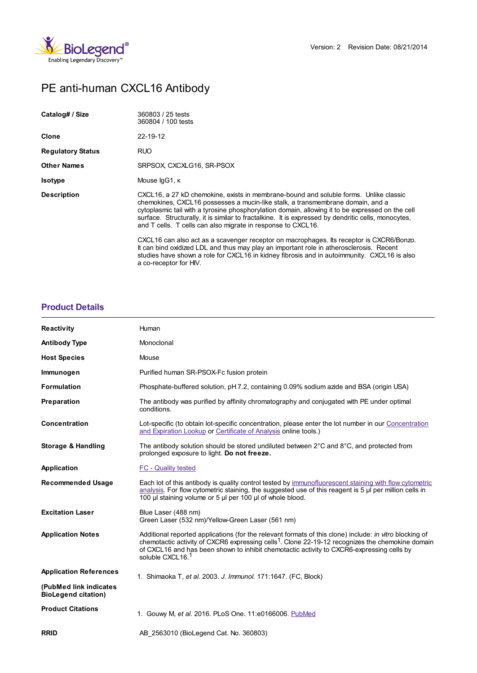

# PE anti-human CXCL16 Antibody

| Catalog# / Size          | 360803 / 25 tests<br>360804 / 100 tests                                                                                                                                                                                                                                                                                                                                                                                                                                                                                                                                                                                                   |
|--------------------------|-------------------------------------------------------------------------------------------------------------------------------------------------------------------------------------------------------------------------------------------------------------------------------------------------------------------------------------------------------------------------------------------------------------------------------------------------------------------------------------------------------------------------------------------------------------------------------------------------------------------------------------------|
| Clone                    | 22-19-12                                                                                                                                                                                                                                                                                                                                                                                                                                                                                                                                                                                                                                  |
| <b>Regulatory Status</b> | <b>RUO</b>                                                                                                                                                                                                                                                                                                                                                                                                                                                                                                                                                                                                                                |
| <b>Other Names</b>       | SRPSOX, CXCXLG16, SR-PSOX                                                                                                                                                                                                                                                                                                                                                                                                                                                                                                                                                                                                                 |
| <b>Isotype</b>           | Mouse IgG1, K                                                                                                                                                                                                                                                                                                                                                                                                                                                                                                                                                                                                                             |
| <b>Description</b>       | CXCL16, a 27 kD chemokine, exists in membrane-bound and soluble forms. Unlike classic<br>chemokines, CXCL16 possesses a mucin-like stalk, a transmembrane domain, and a<br>cytoplasmic tail with a tyrosine phosphorylation domain, allowing it to be expressed on the cell<br>surface. Structurally, it is similar to fractalkine. It is expressed by dendritic cells, monocytes,<br>and T cells. T cells can also migrate in response to CXCL16.<br>CXCL16 can also act as a scavenger receptor on macrophages. Its receptor is CXCR6/Bonzo.<br>It can bind oxidized LDL and thus may play an important role in atherosclerosis. Recent |
|                          | studies have shown a role for CXCL16 in kidney fibrosis and in autoimmunity. CXCL16 is also<br>a co-receptor for HIV.                                                                                                                                                                                                                                                                                                                                                                                                                                                                                                                     |

## **[Product](https://www.biolegend.com/en-gb/products/pe-anti-human-cxcl16-antibody-9241?pdf=true&displayInline=true&leftRightMargin=15&topBottomMargin=15&filename=PE anti-human CXCL16 Antibody.pdf#productDetails) Details**

| <b>Reactivity</b>                                    | Human                                                                                                                                                                                                                                                                                                                                                |
|------------------------------------------------------|------------------------------------------------------------------------------------------------------------------------------------------------------------------------------------------------------------------------------------------------------------------------------------------------------------------------------------------------------|
| <b>Antibody Type</b>                                 | Monoclonal                                                                                                                                                                                                                                                                                                                                           |
| <b>Host Species</b>                                  | Mouse                                                                                                                                                                                                                                                                                                                                                |
| Immunogen                                            | Purified human SR-PSOX-Fc fusion protein                                                                                                                                                                                                                                                                                                             |
| <b>Formulation</b>                                   | Phosphate-buffered solution, pH 7.2, containing 0.09% sodium azide and BSA (origin USA)                                                                                                                                                                                                                                                              |
| Preparation                                          | The antibody was purified by affinity chromatography and conjugated with PE under optimal<br>conditions.                                                                                                                                                                                                                                             |
| <b>Concentration</b>                                 | Lot-specific (to obtain lot-specific concentration, please enter the lot number in our Concentration<br>and Expiration Lookup or Certificate of Analysis online tools.)                                                                                                                                                                              |
| Storage & Handling                                   | The antibody solution should be stored undiluted between $2^{\circ}$ C and $8^{\circ}$ C, and protected from<br>prolonged exposure to light. Do not freeze.                                                                                                                                                                                          |
| Application                                          | <b>FC - Quality tested</b>                                                                                                                                                                                                                                                                                                                           |
| <b>Recommended Usage</b>                             | Each lot of this antibody is quality control tested by immunofluorescent staining with flow cytometric<br>analysis. For flow cytometric staining, the suggested use of this reagent is $5 \mu$ per million cells in<br>100 µl staining volume or 5 µl per 100 µl of whole blood.                                                                     |
| <b>Excitation Laser</b>                              | Blue Laser (488 nm)<br>Green Laser (532 nm)/Yellow-Green Laser (561 nm)                                                                                                                                                                                                                                                                              |
| <b>Application Notes</b>                             | Additional reported applications (for the relevant formats of this clone) include: in vitro blocking of<br>chemotactic activity of CXCR6 expressing cells <sup>1</sup> . Clone 22-19-12 recognizes the chemokine domain<br>of CXCL16 and has been shown to inhibit chemotactic activity to CXCR6-expressing cells by<br>soluble CXCL16. <sup>1</sup> |
| <b>Application References</b>                        | 1. Shimaoka T, et al. 2003. J. Immunol. 171:1647. (FC, Block)                                                                                                                                                                                                                                                                                        |
| (PubMed link indicates<br><b>BioLegend citation)</b> |                                                                                                                                                                                                                                                                                                                                                      |
| <b>Product Citations</b>                             | 1. Gouwy M, et al. 2016. PLoS One. 11:e0166006. PubMed                                                                                                                                                                                                                                                                                               |
| <b>RRID</b>                                          | AB 2563010 (BioLegend Cat. No. 360803)                                                                                                                                                                                                                                                                                                               |